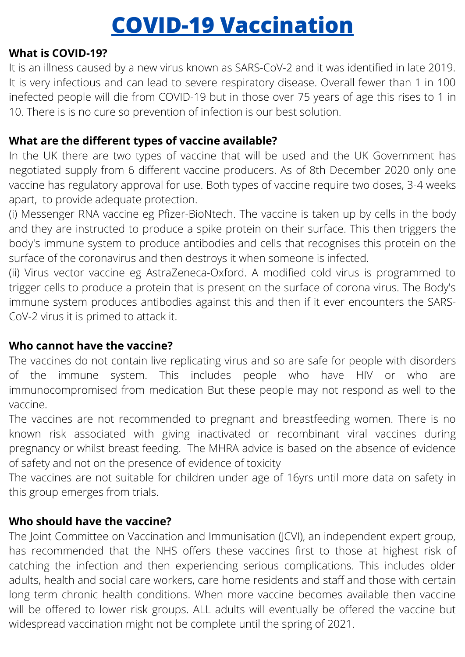# **COVID-19 Vaccination**

#### **What is COVID-19?**

It is an illness caused by a new virus known as SARS-CoV-2 and it was identified in late 2019. It is very infectious and can lead to severe respiratory disease. Overall fewer than 1 in 100 inefected people will die from COVID-19 but in those over 75 years of age this rises to 1 in 10. There is is no cure so prevention of infection is our best solution.

# **What are the different types of vaccine available?**

In the UK there are two types of vaccine that will be used and the UK Government has negotiated supply from 6 different vaccine producers. As of 8th December 2020 only one vaccine has regulatory approval for use. Both types of vaccine require two doses, 3-4 weeks apart, to provide adequate protection.

(i) Messenger RNA vaccine eg Pfizer-BioNtech. The vaccine is taken up by cells in the body and they are instructed to produce a spike protein on their surface. This then triggers the body's immune system to produce antibodies and cells that recognises this protein on the surface of the coronavirus and then destroys it when someone is infected.

(ii) Virus vector vaccine eg AstraZeneca-Oxford. A modified cold virus is programmed to trigger cells to produce a protein that is present on the surface of corona virus. The Body's immune system produces antibodies against this and then if it ever encounters the SARS-CoV-2 virus it is primed to attack it.

# **Who cannot have the vaccine?**

The vaccines do not contain live replicating virus and so are safe for people with disorders of the immune system. This includes people who have HIV or who are immunocompromised from medication But these people may not respond as well to the vaccine.

The vaccines are not recommended to pregnant and breastfeeding women. There is no known risk associated with giving inactivated or recombinant viral vaccines during pregnancy or whilst breast feeding. The MHRA advice is based on the absence of evidence of safety and not on the presence of evidence of toxicity

The vaccines are not suitable for children under age of 16yrs until more data on safety in this group emerges from trials.

# **Who should have the vaccine?**

The Joint Committee on Vaccination and Immunisation (JCVI), an independent expert group, has recommended that the NHS offers these vaccines first to those at highest risk of catching the infection and then experiencing serious complications. This includes older adults, health and social care workers, care home residents and staff and those with certain long term chronic health conditions. When more vaccine becomes available then vaccine will be offered to lower risk groups. ALL adults will eventually be offered the vaccine but widespread vaccination might not be complete until the spring of 2021.